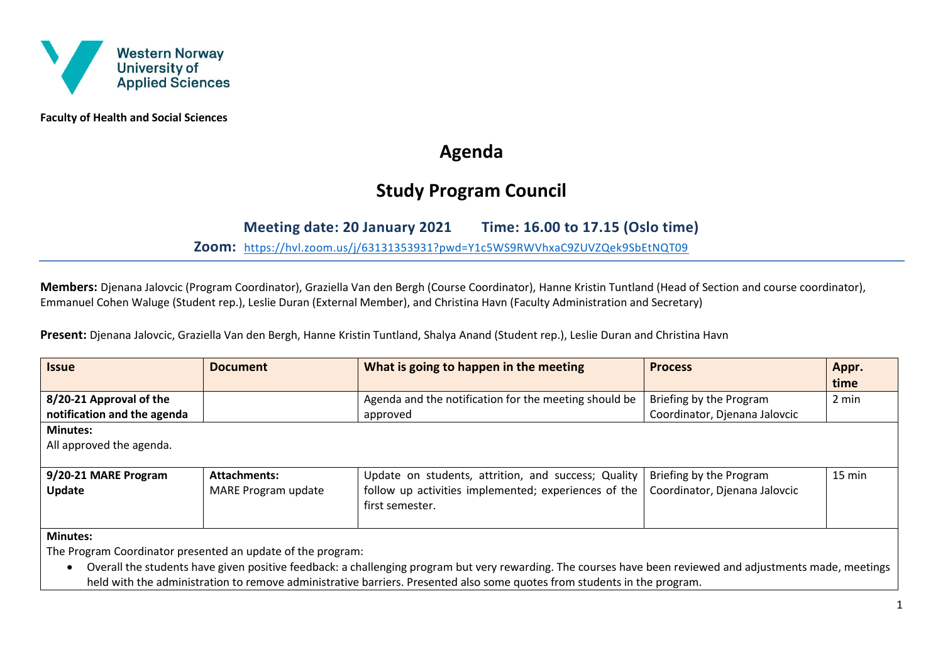

**Faculty of Health and Social Sciences**

# **Agenda**

# **Study Program Council**

## **Meeting date: 20 January 2021 Time: 16.00 to 17.15 (Oslo time)**

**Zoom:** <https://hvl.zoom.us/j/63131353931?pwd=Y1c5WS9RWVhxaC9ZUVZQek9SbEtNQT09>

**Members:** Djenana Jalovcic (Program Coordinator), Graziella Van den Bergh (Course Coordinator), Hanne Kristin Tuntland (Head of Section and course coordinator), Emmanuel Cohen Waluge (Student rep.), Leslie Duran (External Member), and Christina Havn (Faculty Administration and Secretary)

**Present:** Djenana Jalovcic, Graziella Van den Bergh, Hanne Kristin Tuntland, Shalya Anand (Student rep.), Leslie Duran and Christina Havn

| <b>Issue</b>                                                                                                                                                            | <b>Document</b>     | What is going to happen in the meeting                | <b>Process</b>                | Appr.<br>time |  |  |
|-------------------------------------------------------------------------------------------------------------------------------------------------------------------------|---------------------|-------------------------------------------------------|-------------------------------|---------------|--|--|
| 8/20-21 Approval of the                                                                                                                                                 |                     | Agenda and the notification for the meeting should be | Briefing by the Program       | 2 min         |  |  |
| notification and the agenda                                                                                                                                             |                     | approved                                              | Coordinator, Djenana Jalovcic |               |  |  |
| <b>Minutes:</b>                                                                                                                                                         |                     |                                                       |                               |               |  |  |
| All approved the agenda.                                                                                                                                                |                     |                                                       |                               |               |  |  |
|                                                                                                                                                                         |                     |                                                       |                               |               |  |  |
| 9/20-21 MARE Program                                                                                                                                                    | <b>Attachments:</b> | Update on students, attrition, and success; Quality   | Briefing by the Program       | 15 min        |  |  |
| Update                                                                                                                                                                  | MARE Program update | follow up activities implemented; experiences of the  | Coordinator, Djenana Jalovcic |               |  |  |
|                                                                                                                                                                         |                     | first semester.                                       |                               |               |  |  |
|                                                                                                                                                                         |                     |                                                       |                               |               |  |  |
| <b>Minutes:</b>                                                                                                                                                         |                     |                                                       |                               |               |  |  |
| The Program Coordinator presented an update of the program:                                                                                                             |                     |                                                       |                               |               |  |  |
| Overall the students have given positive feedback: a challenging program but very rewarding. The courses have been reviewed and adjustments made, meetings<br>$\bullet$ |                     |                                                       |                               |               |  |  |
| held with the administration to remove administrative barriers. Presented also some quotes from students in the program.                                                |                     |                                                       |                               |               |  |  |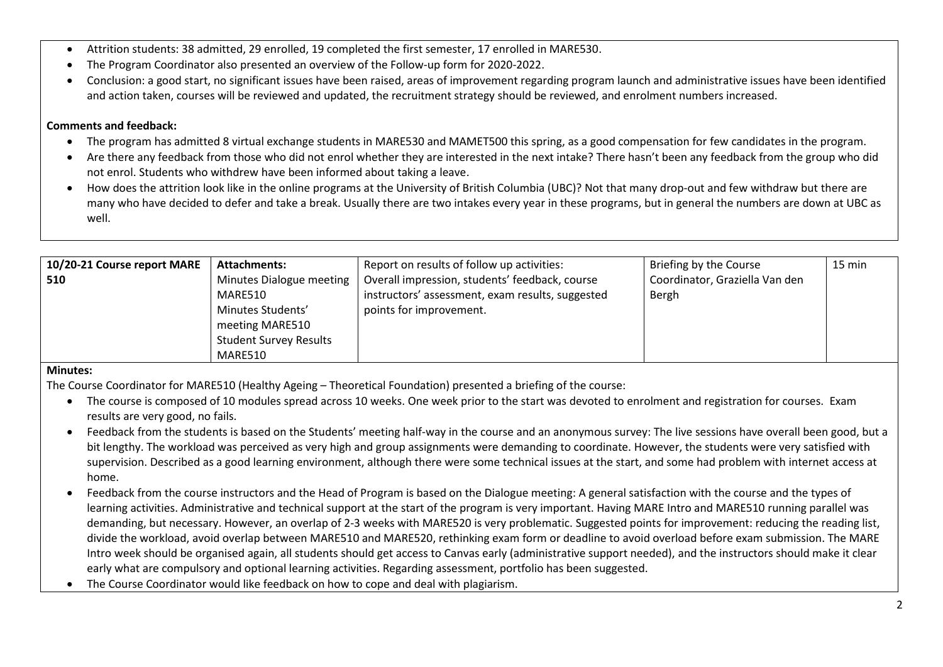- Attrition students: 38 admitted, 29 enrolled, 19 completed the first semester, 17 enrolled in MARE530.
- The Program Coordinator also presented an overview of the Follow-up form for 2020-2022.
- Conclusion: a good start, no significant issues have been raised, areas of improvement regarding program launch and administrative issues have been identified and action taken, courses will be reviewed and updated, the recruitment strategy should be reviewed, and enrolment numbers increased.

#### **Comments and feedback:**

- The program has admitted 8 virtual exchange students in MARE530 and MAMET500 this spring, as a good compensation for few candidates in the program.
- Are there any feedback from those who did not enrol whether they are interested in the next intake? There hasn't been any feedback from the group who did not enrol. Students who withdrew have been informed about taking a leave.
- How does the attrition look like in the online programs at the University of British Columbia (UBC)? Not that many drop-out and few withdraw but there are many who have decided to defer and take a break. Usually there are two intakes every year in these programs, but in general the numbers are down at UBC as well.

| 10/20-21 Course report MARE | <b>Attachments:</b>           | Report on results of follow up activities:       | Briefing by the Course         | 15 min |
|-----------------------------|-------------------------------|--------------------------------------------------|--------------------------------|--------|
| 510                         | Minutes Dialogue meeting      | Overall impression, students' feedback, course   | Coordinator, Graziella Van den |        |
|                             | MARE510                       | instructors' assessment, exam results, suggested | Bergh                          |        |
|                             | Minutes Students'             | points for improvement.                          |                                |        |
|                             | meeting MARE510               |                                                  |                                |        |
|                             | <b>Student Survey Results</b> |                                                  |                                |        |
|                             | MARE510                       |                                                  |                                |        |

### **Minutes:**

The Course Coordinator for MARE510 (Healthy Ageing – Theoretical Foundation) presented a briefing of the course:

- The course is composed of 10 modules spread across 10 weeks. One week prior to the start was devoted to enrolment and registration for courses. Exam results are very good, no fails.
- Feedback from the students is based on the Students' meeting half-way in the course and an anonymous survey: The live sessions have overall been good, but a bit lengthy. The workload was perceived as very high and group assignments were demanding to coordinate. However, the students were very satisfied with supervision. Described as a good learning environment, although there were some technical issues at the start, and some had problem with internet access at home.
- Feedback from the course instructors and the Head of Program is based on the Dialogue meeting: A general satisfaction with the course and the types of learning activities. Administrative and technical support at the start of the program is very important. Having MARE Intro and MARE510 running parallel was demanding, but necessary. However, an overlap of 2-3 weeks with MARE520 is very problematic. Suggested points for improvement: reducing the reading list, divide the workload, avoid overlap between MARE510 and MARE520, rethinking exam form or deadline to avoid overload before exam submission. The MARE Intro week should be organised again, all students should get access to Canvas early (administrative support needed), and the instructors should make it clear early what are compulsory and optional learning activities. Regarding assessment, portfolio has been suggested.
- The Course Coordinator would like feedback on how to cope and deal with plagiarism.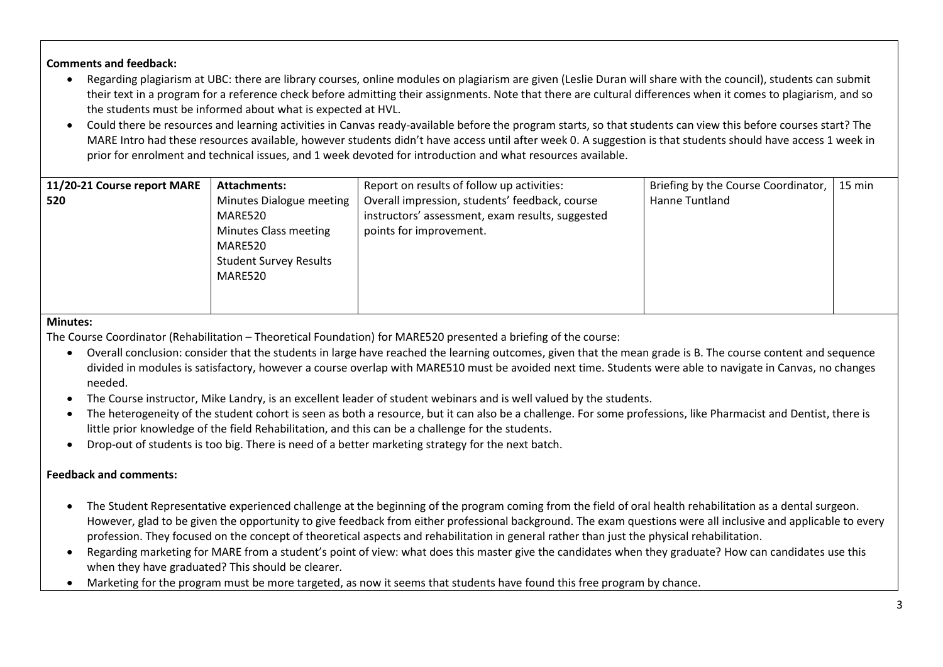**Comments and feedback:**

- Regarding plagiarism at UBC: there are library courses, online modules on plagiarism are given (Leslie Duran will share with the council), students can submit their text in a program for a reference check before admitting their assignments. Note that there are cultural differences when it comes to plagiarism, and so the students must be informed about what is expected at HVL.
- Could there be resources and learning activities in Canvas ready-available before the program starts, so that students can view this before courses start? The MARE Intro had these resources available, however students didn't have access until after week 0. A suggestion is that students should have access 1 week in prior for enrolment and technical issues, and 1 week devoted for introduction and what resources available.

| 11/20-21 Course report MARE | <b>Attachments:</b>           | Report on results of follow up activities:       | Briefing by the Course Coordinator,   15 min |  |
|-----------------------------|-------------------------------|--------------------------------------------------|----------------------------------------------|--|
| 520                         | Minutes Dialogue meeting      | Overall impression, students' feedback, course   | Hanne Tuntland                               |  |
|                             | MARE520                       | instructors' assessment, exam results, suggested |                                              |  |
|                             | Minutes Class meeting         | points for improvement.                          |                                              |  |
|                             | MARE520                       |                                                  |                                              |  |
|                             | <b>Student Survey Results</b> |                                                  |                                              |  |
|                             | MARE520                       |                                                  |                                              |  |
|                             |                               |                                                  |                                              |  |
|                             |                               |                                                  |                                              |  |

#### **Minutes:**

The Course Coordinator (Rehabilitation – Theoretical Foundation) for MARE520 presented a briefing of the course:

- Overall conclusion: consider that the students in large have reached the learning outcomes, given that the mean grade is B. The course content and sequence divided in modules is satisfactory, however a course overlap with MARE510 must be avoided next time. Students were able to navigate in Canvas, no changes needed.
- The Course instructor, Mike Landry, is an excellent leader of student webinars and is well valued by the students.
- The heterogeneity of the student cohort is seen as both a resource, but it can also be a challenge. For some professions, like Pharmacist and Dentist, there is little prior knowledge of the field Rehabilitation, and this can be a challenge for the students.
- Drop-out of students is too big. There is need of a better marketing strategy for the next batch.

### **Feedback and comments:**

- The Student Representative experienced challenge at the beginning of the program coming from the field of oral health rehabilitation as a dental surgeon. However, glad to be given the opportunity to give feedback from either professional background. The exam questions were all inclusive and applicable to every profession. They focused on the concept of theoretical aspects and rehabilitation in general rather than just the physical rehabilitation.
- Regarding marketing for MARE from a student's point of view: what does this master give the candidates when they graduate? How can candidates use this when they have graduated? This should be clearer.
- Marketing for the program must be more targeted, as now it seems that students have found this free program by chance.